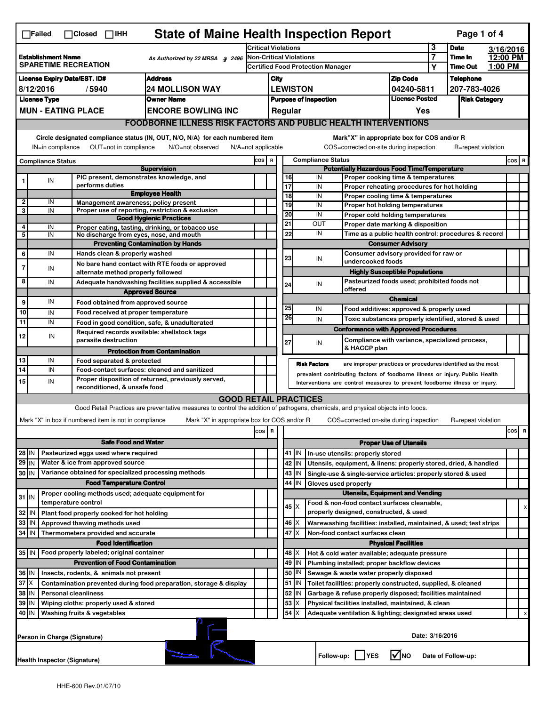| <b>State of Maine Health Inspection Report</b><br>Page 1 of 4<br>$\Box$ Failed<br>$\Box$ Closed $\Box$ IHH                                                                                                                                                                            |                                                        |  |                                                                     |                                                                                                                                   |                                          |                                                    |                                   |                                                                                        |                                  |                                        |                                                                              |             |                    |           |          |
|---------------------------------------------------------------------------------------------------------------------------------------------------------------------------------------------------------------------------------------------------------------------------------------|--------------------------------------------------------|--|---------------------------------------------------------------------|-----------------------------------------------------------------------------------------------------------------------------------|------------------------------------------|----------------------------------------------------|-----------------------------------|----------------------------------------------------------------------------------------|----------------------------------|----------------------------------------|------------------------------------------------------------------------------|-------------|--------------------|-----------|----------|
|                                                                                                                                                                                                                                                                                       |                                                        |  |                                                                     |                                                                                                                                   | <b>Critical Violations</b>               |                                                    |                                   |                                                                                        |                                  |                                        | 3                                                                            | <b>Date</b> |                    | 3/16/2016 |          |
| <b>Establishment Name</b><br>As Authorized by 22 MRSA § 2496<br><b>SPARETIME RECREATION</b>                                                                                                                                                                                           |                                                        |  | Non-Critical Violations                                             |                                                                                                                                   |                                          |                                                    |                                   |                                                                                        | $\overline{7}$                   | Time In                                |                                                                              | 12:00 PM    |                    |           |          |
|                                                                                                                                                                                                                                                                                       |                                                        |  |                                                                     |                                                                                                                                   | <b>Certified Food Protection Manager</b> |                                                    |                                   |                                                                                        |                                  | Υ                                      | <b>Time Out</b>                                                              | 1:00 PM     |                    |           |          |
| <b>Address</b><br><b>License Expiry Date/EST. ID#</b>                                                                                                                                                                                                                                 |                                                        |  |                                                                     |                                                                                                                                   |                                          | City                                               |                                   |                                                                                        |                                  |                                        | <b>Zip Code</b>                                                              |             | <b>Telephone</b>   |           |          |
| 8/12/2016<br><b>24 MOLLISON WAY</b><br>/5940                                                                                                                                                                                                                                          |                                                        |  |                                                                     | <b>LEWISTON</b><br>04240-5811                                                                                                     |                                          |                                                    |                                   |                                                                                        |                                  |                                        | 207-783-4026                                                                 |             |                    |           |          |
| <b>License Type</b><br><b>Owner Name</b>                                                                                                                                                                                                                                              |                                                        |  |                                                                     | <b>License Posted</b><br><b>Purpose of Inspection</b><br>Regular                                                                  |                                          |                                                    |                                   |                                                                                        |                                  | <b>Risk Category</b>                   |                                                                              |             |                    |           |          |
|                                                                                                                                                                                                                                                                                       | <b>MUN - EATING PLACE</b><br><b>ENCORE BOWLING INC</b> |  |                                                                     |                                                                                                                                   |                                          |                                                    |                                   |                                                                                        |                                  |                                        | Yes                                                                          |             |                    |           |          |
|                                                                                                                                                                                                                                                                                       |                                                        |  |                                                                     | <b>FOODBORNE ILLNESS RISK FACTORS AND PUBLIC HEALTH INTERVENTIONS</b>                                                             |                                          |                                                    |                                   |                                                                                        |                                  |                                        |                                                                              |             |                    |           |          |
| Circle designated compliance status (IN, OUT, N/O, N/A) for each numbered item<br>Mark"X" in appropriate box for COS and/or R<br>IN=in compliance<br>OUT=not in compliance<br>N/O=not observed<br>N/A=not applicable<br>COS=corrected on-site during inspection<br>R=repeat violation |                                                        |  |                                                                     |                                                                                                                                   |                                          |                                                    |                                   |                                                                                        |                                  |                                        |                                                                              |             |                    |           |          |
|                                                                                                                                                                                                                                                                                       | <b>Compliance Status</b>                               |  |                                                                     |                                                                                                                                   |                                          |                                                    | <b>Compliance Status</b><br>COS R |                                                                                        |                                  |                                        |                                                                              |             |                    |           | COS R    |
|                                                                                                                                                                                                                                                                                       |                                                        |  |                                                                     | <b>Supervision</b>                                                                                                                |                                          | <b>Potentially Hazardous Food Time/Temperature</b> |                                   |                                                                                        |                                  |                                        |                                                                              |             |                    |           |          |
|                                                                                                                                                                                                                                                                                       | IN                                                     |  | PIC present, demonstrates knowledge, and                            |                                                                                                                                   |                                          |                                                    | 16                                |                                                                                        | IN                               |                                        | Proper cooking time & temperatures                                           |             |                    |           |          |
|                                                                                                                                                                                                                                                                                       |                                                        |  | performs duties                                                     | <b>Employee Health</b>                                                                                                            |                                          |                                                    | $\overline{17}$                   |                                                                                        | IN                               |                                        | Proper reheating procedures for hot holding                                  |             |                    |           |          |
| $\mathbf{2}$                                                                                                                                                                                                                                                                          | IN                                                     |  | Management awareness; policy present                                |                                                                                                                                   |                                          |                                                    | 18<br>19                          |                                                                                        | IN<br>IN                         |                                        | Proper cooling time & temperatures<br>Proper hot holding temperatures        |             |                    |           |          |
| 3                                                                                                                                                                                                                                                                                     | IN                                                     |  |                                                                     | Proper use of reporting, restriction & exclusion                                                                                  |                                          |                                                    | 20                                |                                                                                        | IN                               |                                        |                                                                              |             |                    |           |          |
|                                                                                                                                                                                                                                                                                       |                                                        |  |                                                                     | <b>Good Hygienic Practices</b>                                                                                                    |                                          |                                                    | 21                                |                                                                                        | OUT                              |                                        | Proper cold holding temperatures                                             |             |                    |           |          |
| 4                                                                                                                                                                                                                                                                                     | IN                                                     |  |                                                                     | Proper eating, tasting, drinking, or tobacco use                                                                                  |                                          |                                                    |                                   |                                                                                        | IN                               | Proper date marking & disposition      |                                                                              |             |                    |           |          |
| 5                                                                                                                                                                                                                                                                                     | IN                                                     |  | No discharge from eyes, nose, and mouth                             |                                                                                                                                   |                                          |                                                    |                                   | 22<br>Time as a public health control: procedures & record<br><b>Consumer Advisory</b> |                                  |                                        |                                                                              |             |                    |           |          |
| 6                                                                                                                                                                                                                                                                                     | IN                                                     |  | Hands clean & properly washed                                       | <b>Preventing Contamination by Hands</b>                                                                                          |                                          |                                                    |                                   |                                                                                        |                                  |                                        | Consumer advisory provided for raw or                                        |             |                    |           |          |
|                                                                                                                                                                                                                                                                                       |                                                        |  |                                                                     |                                                                                                                                   |                                          |                                                    | 23                                |                                                                                        | IN                               | undercooked foods                      |                                                                              |             |                    |           |          |
| 7                                                                                                                                                                                                                                                                                     | IN                                                     |  | alternate method properly followed                                  | No bare hand contact with RTE foods or approved                                                                                   |                                          |                                                    |                                   |                                                                                        |                                  |                                        | <b>Highly Susceptible Populations</b>                                        |             |                    |           |          |
| 8                                                                                                                                                                                                                                                                                     | IN                                                     |  |                                                                     |                                                                                                                                   |                                          |                                                    |                                   |                                                                                        |                                  |                                        | Pasteurized foods used; prohibited foods not                                 |             |                    |           |          |
|                                                                                                                                                                                                                                                                                       |                                                        |  |                                                                     | Adequate handwashing facilities supplied & accessible                                                                             |                                          |                                                    | 24                                |                                                                                        | IN                               | offered                                |                                                                              |             |                    |           |          |
| 9                                                                                                                                                                                                                                                                                     | IN                                                     |  |                                                                     | <b>Approved Source</b>                                                                                                            |                                          |                                                    |                                   |                                                                                        |                                  |                                        | <b>Chemical</b>                                                              |             |                    |           |          |
|                                                                                                                                                                                                                                                                                       |                                                        |  | Food obtained from approved source                                  |                                                                                                                                   |                                          |                                                    | 25                                |                                                                                        | IN                               |                                        | Food additives: approved & properly used                                     |             |                    |           |          |
| 10                                                                                                                                                                                                                                                                                    | IN                                                     |  | Food received at proper temperature                                 |                                                                                                                                   |                                          |                                                    | 26                                |                                                                                        | IN                               |                                        | Toxic substances properly identified, stored & used                          |             |                    |           |          |
| 11                                                                                                                                                                                                                                                                                    | IN                                                     |  |                                                                     | Food in good condition, safe, & unadulterated                                                                                     |                                          |                                                    |                                   |                                                                                        |                                  |                                        | <b>Conformance with Approved Procedures</b>                                  |             |                    |           |          |
| 12                                                                                                                                                                                                                                                                                    | IN                                                     |  | Required records available: shellstock tags<br>parasite destruction |                                                                                                                                   |                                          |                                                    | 27                                |                                                                                        | IN                               |                                        | Compliance with variance, specialized process,                               |             |                    |           |          |
|                                                                                                                                                                                                                                                                                       |                                                        |  |                                                                     | <b>Protection from Contamination</b>                                                                                              |                                          |                                                    |                                   |                                                                                        |                                  | & HACCP plan                           |                                                                              |             |                    |           |          |
| 13                                                                                                                                                                                                                                                                                    | IN                                                     |  | Food separated & protected                                          |                                                                                                                                   |                                          |                                                    |                                   |                                                                                        | <b>Risk Factors</b>              |                                        | are improper practices or procedures identified as the most                  |             |                    |           |          |
| 14                                                                                                                                                                                                                                                                                    | IN                                                     |  |                                                                     | Food-contact surfaces: cleaned and sanitized                                                                                      |                                          |                                                    |                                   |                                                                                        |                                  |                                        | prevalent contributing factors of foodborne illness or injury. Public Health |             |                    |           |          |
| 15                                                                                                                                                                                                                                                                                    | IN                                                     |  | reconditioned, & unsafe food                                        | Proper disposition of returned, previously served,                                                                                |                                          |                                                    |                                   |                                                                                        |                                  |                                        | Interventions are control measures to prevent foodborne illness or injury.   |             |                    |           |          |
|                                                                                                                                                                                                                                                                                       |                                                        |  |                                                                     | <b>GOOD RETAIL PRACTICES</b>                                                                                                      |                                          |                                                    |                                   |                                                                                        |                                  |                                        |                                                                              |             |                    |           |          |
|                                                                                                                                                                                                                                                                                       |                                                        |  |                                                                     | Good Retail Practices are preventative measures to control the addition of pathogens, chemicals, and physical objects into foods. |                                          |                                                    |                                   |                                                                                        |                                  |                                        |                                                                              |             |                    |           |          |
|                                                                                                                                                                                                                                                                                       |                                                        |  |                                                                     |                                                                                                                                   |                                          |                                                    |                                   |                                                                                        |                                  |                                        |                                                                              |             |                    |           |          |
|                                                                                                                                                                                                                                                                                       |                                                        |  | Mark "X" in box if numbered item is not in compliance               | Mark "X" in appropriate box for COS and/or R                                                                                      |                                          |                                                    |                                   |                                                                                        |                                  |                                        | COS=corrected on-site during inspection                                      |             | R=repeat violation |           |          |
|                                                                                                                                                                                                                                                                                       |                                                        |  |                                                                     |                                                                                                                                   | cos                                      | R                                                  |                                   |                                                                                        |                                  |                                        |                                                                              |             |                    |           | cos<br>R |
|                                                                                                                                                                                                                                                                                       |                                                        |  | <b>Safe Food and Water</b>                                          |                                                                                                                                   |                                          | <b>Proper Use of Utensils</b>                      |                                   |                                                                                        |                                  |                                        |                                                                              |             |                    |           |          |
| Pasteurized eggs used where required<br>$28$ IN                                                                                                                                                                                                                                       |                                                        |  |                                                                     |                                                                                                                                   |                                          |                                                    | 41   IN                           |                                                                                        | In-use utensils: properly stored |                                        |                                                                              |             |                    |           |          |
| $29$ IN                                                                                                                                                                                                                                                                               |                                                        |  | Water & ice from approved source                                    |                                                                                                                                   |                                          |                                                    |                                   | 42 IN                                                                                  |                                  |                                        | Utensils, equipment, & linens: properly stored, dried, & handled             |             |                    |           |          |
| 30 IN                                                                                                                                                                                                                                                                                 |                                                        |  | Variance obtained for specialized processing methods                |                                                                                                                                   |                                          |                                                    |                                   | 43 IN                                                                                  |                                  |                                        | Single-use & single-service articles: properly stored & used                 |             |                    |           |          |
| <b>Food Temperature Control</b>                                                                                                                                                                                                                                                       |                                                        |  |                                                                     |                                                                                                                                   | 44                                       | IN                                                 | Gloves used properly              |                                                                                        |                                  |                                        |                                                                              |             |                    |           |          |
| $31$ IN                                                                                                                                                                                                                                                                               |                                                        |  | Proper cooling methods used; adequate equipment for                 |                                                                                                                                   |                                          |                                                    |                                   |                                                                                        |                                  |                                        | <b>Utensils, Equipment and Vending</b>                                       |             |                    |           |          |
|                                                                                                                                                                                                                                                                                       |                                                        |  | temperature control                                                 |                                                                                                                                   |                                          |                                                    |                                   | $45 \times$                                                                            |                                  |                                        | Food & non-food contact surfaces cleanable,                                  |             |                    |           |          |
| 32                                                                                                                                                                                                                                                                                    | ۱N                                                     |  | Plant food properly cooked for hot holding                          |                                                                                                                                   |                                          |                                                    |                                   |                                                                                        |                                  | properly designed, constructed, & used |                                                                              |             |                    |           | х        |
| 33                                                                                                                                                                                                                                                                                    | IN                                                     |  | Approved thawing methods used                                       |                                                                                                                                   |                                          |                                                    |                                   | $46 \times$                                                                            |                                  |                                        | Warewashing facilities: installed, maintained, & used; test strips           |             |                    |           |          |
| 34 IN                                                                                                                                                                                                                                                                                 |                                                        |  | Thermometers provided and accurate                                  |                                                                                                                                   |                                          |                                                    | 47                                | ΙX                                                                                     |                                  | Non-food contact surfaces clean        |                                                                              |             |                    |           |          |
|                                                                                                                                                                                                                                                                                       |                                                        |  | <b>Food Identification</b>                                          |                                                                                                                                   |                                          |                                                    |                                   |                                                                                        |                                  |                                        | <b>Physical Facilities</b>                                                   |             |                    |           |          |
| 35 IN                                                                                                                                                                                                                                                                                 |                                                        |  | Food properly labeled; original container                           |                                                                                                                                   |                                          |                                                    |                                   | 48 X                                                                                   |                                  |                                        | Hot & cold water available; adequate pressure                                |             |                    |           |          |
|                                                                                                                                                                                                                                                                                       |                                                        |  | <b>Prevention of Food Contamination</b>                             |                                                                                                                                   |                                          |                                                    | 49                                | IN                                                                                     |                                  |                                        | Plumbing installed; proper backflow devices                                  |             |                    |           |          |
| 36 IN                                                                                                                                                                                                                                                                                 |                                                        |  | Insects, rodents, & animals not present                             |                                                                                                                                   |                                          |                                                    |                                   | 50 IN                                                                                  |                                  |                                        | Sewage & waste water properly disposed                                       |             |                    |           |          |
| $37$ $\times$                                                                                                                                                                                                                                                                         |                                                        |  |                                                                     |                                                                                                                                   |                                          |                                                    |                                   | 51 IN                                                                                  |                                  |                                        | Toilet facilities: properly constructed, supplied, & cleaned                 |             |                    |           |          |
| Contamination prevented during food preparation, storage & display<br>38 IN<br><b>Personal cleanliness</b>                                                                                                                                                                            |                                                        |  |                                                                     |                                                                                                                                   |                                          |                                                    |                                   | 52 IN                                                                                  |                                  |                                        | Garbage & refuse properly disposed; facilities maintained                    |             |                    |           |          |
| 39 IN<br>Wiping cloths: properly used & stored                                                                                                                                                                                                                                        |                                                        |  |                                                                     |                                                                                                                                   |                                          |                                                    | 53                                | X                                                                                      |                                  |                                        | Physical facilities installed, maintained, & clean                           |             |                    |           |          |
| 40 IN<br>Washing fruits & vegetables                                                                                                                                                                                                                                                  |                                                        |  |                                                                     |                                                                                                                                   |                                          |                                                    | 54                                |                                                                                        |                                  |                                        | Adequate ventilation & lighting; designated areas used                       |             |                    |           |          |
|                                                                                                                                                                                                                                                                                       |                                                        |  |                                                                     |                                                                                                                                   |                                          |                                                    |                                   |                                                                                        |                                  |                                        |                                                                              |             |                    |           |          |
|                                                                                                                                                                                                                                                                                       | Person in Charge (Signature)                           |  |                                                                     |                                                                                                                                   |                                          |                                                    |                                   |                                                                                        |                                  |                                        | Date: 3/16/2016                                                              |             |                    |           |          |
|                                                                                                                                                                                                                                                                                       | <b>Health Inspector (Signature)</b>                    |  |                                                                     |                                                                                                                                   |                                          |                                                    |                                   |                                                                                        |                                  | Follow-up:     YES                     | l√lno                                                                        |             | Date of Follow-up: |           |          |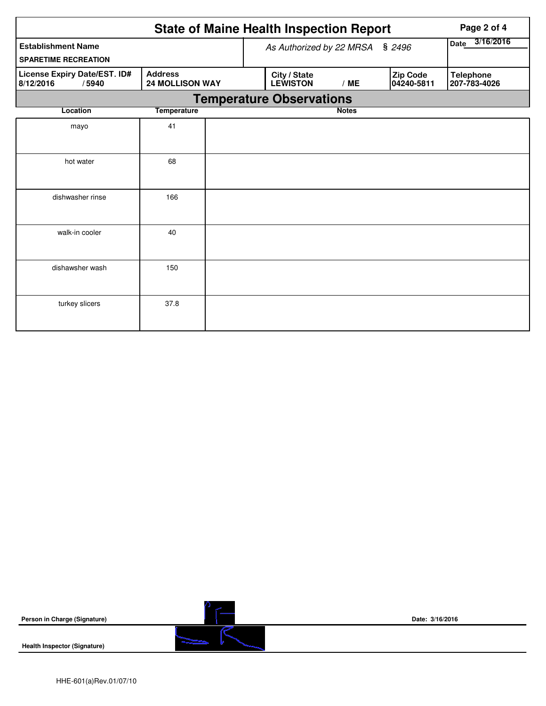|                                                    | Page 2 of 4                              |                                 |              |                        |                                  |
|----------------------------------------------------|------------------------------------------|---------------------------------|--------------|------------------------|----------------------------------|
| <b>Establishment Name</b>                          | As Authorized by 22 MRSA § 2496          | 3/16/2016<br>Date               |              |                        |                                  |
| <b>SPARETIME RECREATION</b>                        |                                          |                                 |              |                        |                                  |
| License Expiry Date/EST. ID#<br>8/12/2016<br>/5940 | <b>Address</b><br><b>24 MOLLISON WAY</b> | City / State<br><b>LEWISTON</b> | /ME          | Zip Code<br>04240-5811 | <b>Telephone</b><br>207-783-4026 |
|                                                    |                                          | <b>Temperature Observations</b> |              |                        |                                  |
| Location                                           | <b>Temperature</b>                       |                                 | <b>Notes</b> |                        |                                  |
| mayo                                               | 41                                       |                                 |              |                        |                                  |
| hot water                                          | 68                                       |                                 |              |                        |                                  |
| dishwasher rinse                                   | 166                                      |                                 |              |                        |                                  |
| walk-in cooler                                     | 40                                       |                                 |              |                        |                                  |
| dishawsher wash                                    | 150                                      |                                 |              |                        |                                  |
| turkey slicers                                     | 37.8                                     |                                 |              |                        |                                  |

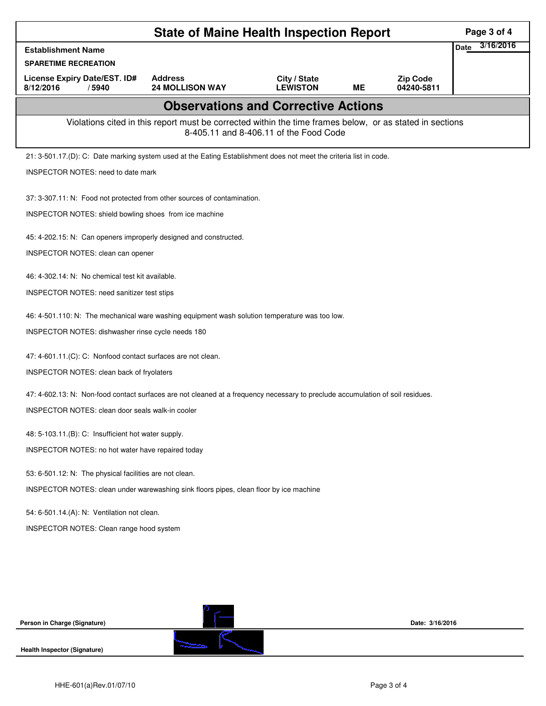|                                                                                                                                                    | Page 3 of 4                                            |                                 |           |                               |                   |  |  |  |  |
|----------------------------------------------------------------------------------------------------------------------------------------------------|--------------------------------------------------------|---------------------------------|-----------|-------------------------------|-------------------|--|--|--|--|
| <b>Establishment Name</b>                                                                                                                          |                                                        |                                 |           |                               | 3/16/2016<br>Date |  |  |  |  |
| <b>SPARETIME RECREATION</b>                                                                                                                        |                                                        |                                 |           |                               |                   |  |  |  |  |
| License Expiry Date/EST. ID#<br>8/12/2016<br>/5940                                                                                                 | <b>Address</b><br><b>24 MOLLISON WAY</b>               | City / State<br><b>LEWISTON</b> | <b>ME</b> | <b>Zip Code</b><br>04240-5811 |                   |  |  |  |  |
| <b>Observations and Corrective Actions</b>                                                                                                         |                                                        |                                 |           |                               |                   |  |  |  |  |
| Violations cited in this report must be corrected within the time frames below, or as stated in sections<br>8-405.11 and 8-406.11 of the Food Code |                                                        |                                 |           |                               |                   |  |  |  |  |
| 21: 3-501.17.(D): C: Date marking system used at the Eating Establishment does not meet the criteria list in code.                                 |                                                        |                                 |           |                               |                   |  |  |  |  |
| <b>INSPECTOR NOTES: need to date mark</b>                                                                                                          |                                                        |                                 |           |                               |                   |  |  |  |  |
| 37: 3-307.11: N: Food not protected from other sources of contamination.                                                                           |                                                        |                                 |           |                               |                   |  |  |  |  |
|                                                                                                                                                    | INSPECTOR NOTES: shield bowling shoes from ice machine |                                 |           |                               |                   |  |  |  |  |
| 45: 4-202.15: N: Can openers improperly designed and constructed.                                                                                  |                                                        |                                 |           |                               |                   |  |  |  |  |
| <b>INSPECTOR NOTES: clean can opener</b>                                                                                                           |                                                        |                                 |           |                               |                   |  |  |  |  |
| 46: 4-302.14: N: No chemical test kit available.                                                                                                   |                                                        |                                 |           |                               |                   |  |  |  |  |
| <b>INSPECTOR NOTES: need sanitizer test stips</b>                                                                                                  |                                                        |                                 |           |                               |                   |  |  |  |  |
| 46: 4-501.110: N: The mechanical ware washing equipment wash solution temperature was too low.                                                     |                                                        |                                 |           |                               |                   |  |  |  |  |
| INSPECTOR NOTES: dishwasher rinse cycle needs 180                                                                                                  |                                                        |                                 |           |                               |                   |  |  |  |  |
| 47: 4-601.11.(C): C: Nonfood contact surfaces are not clean.                                                                                       |                                                        |                                 |           |                               |                   |  |  |  |  |
| INSPECTOR NOTES: clean back of fryolaters                                                                                                          |                                                        |                                 |           |                               |                   |  |  |  |  |
| 47: 4-602.13: N: Non-food contact surfaces are not cleaned at a frequency necessary to preclude accumulation of soil residues.                     |                                                        |                                 |           |                               |                   |  |  |  |  |
| <b>INSPECTOR NOTES: clean door seals walk-in cooler</b>                                                                                            |                                                        |                                 |           |                               |                   |  |  |  |  |
| 48: 5-103.11.(B): C: Insufficient hot water supply.                                                                                                |                                                        |                                 |           |                               |                   |  |  |  |  |
| INSPECTOR NOTES: no hot water have repaired today                                                                                                  |                                                        |                                 |           |                               |                   |  |  |  |  |
| 53: 6-501.12: N: The physical facilities are not clean.                                                                                            |                                                        |                                 |           |                               |                   |  |  |  |  |
| INSPECTOR NOTES: clean under warewashing sink floors pipes, clean floor by ice machine                                                             |                                                        |                                 |           |                               |                   |  |  |  |  |
| 54: 6-501.14.(A): N: Ventilation not clean.                                                                                                        |                                                        |                                 |           |                               |                   |  |  |  |  |
| INSPECTOR NOTES: Clean range hood system                                                                                                           |                                                        |                                 |           |                               |                   |  |  |  |  |
|                                                                                                                                                    |                                                        |                                 |           |                               |                   |  |  |  |  |
|                                                                                                                                                    |                                                        |                                 |           |                               |                   |  |  |  |  |
|                                                                                                                                                    |                                                        |                                 |           |                               |                   |  |  |  |  |
|                                                                                                                                                    |                                                        |                                 |           |                               |                   |  |  |  |  |